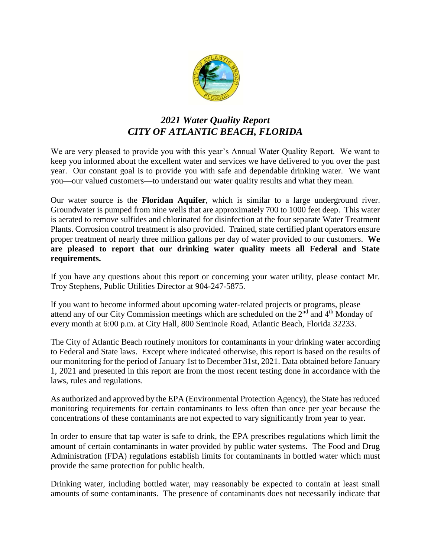

# *2021 Water Quality Report CITY OF ATLANTIC BEACH, FLORIDA*

We are very pleased to provide you with this year's Annual Water Quality Report. We want to keep you informed about the excellent water and services we have delivered to you over the past year. Our constant goal is to provide you with safe and dependable drinking water. We want you—our valued customers—to understand our water quality results and what they mean.

Our water source is the **Floridan Aquifer**, which is similar to a large underground river. Groundwater is pumped from nine wells that are approximately 700 to 1000 feet deep. This water is aerated to remove sulfides and chlorinated for disinfection at the four separate Water Treatment Plants. Corrosion control treatment is also provided. Trained, state certified plant operators ensure proper treatment of nearly three million gallons per day of water provided to our customers. **We are pleased to report that our drinking water quality meets all Federal and State requirements.** 

If you have any questions about this report or concerning your water utility, please contact Mr. Troy Stephens, Public Utilities Director at 904-247-5875.

If you want to become informed about upcoming water-related projects or programs, please attend any of our City Commission meetings which are scheduled on the  $2<sup>nd</sup>$  and  $4<sup>th</sup>$  Monday of every month at 6:00 p.m. at City Hall, 800 Seminole Road, Atlantic Beach, Florida 32233.

The City of Atlantic Beach routinely monitors for contaminants in your drinking water according to Federal and State laws. Except where indicated otherwise, this report is based on the results of our monitoring for the period of January 1st to December 31st, 2021. Data obtained before January 1, 2021 and presented in this report are from the most recent testing done in accordance with the laws, rules and regulations.

As authorized and approved by the EPA (Environmental Protection Agency), the State has reduced monitoring requirements for certain contaminants to less often than once per year because the concentrations of these contaminants are not expected to vary significantly from year to year.

In order to ensure that tap water is safe to drink, the EPA prescribes regulations which limit the amount of certain contaminants in water provided by public water systems. The Food and Drug Administration (FDA) regulations establish limits for contaminants in bottled water which must provide the same protection for public health.

Drinking water, including bottled water, may reasonably be expected to contain at least small amounts of some contaminants. The presence of contaminants does not necessarily indicate that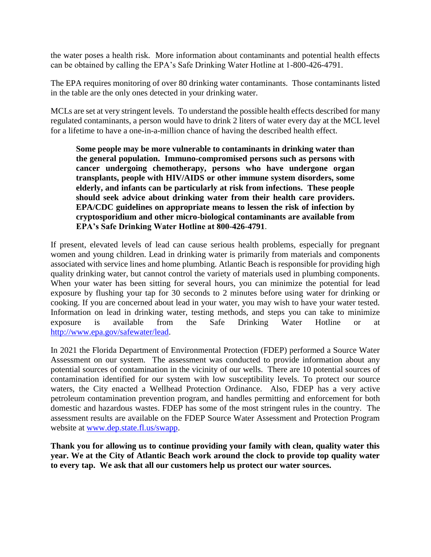the water poses a health risk. More information about contaminants and potential health effects can be obtained by calling the EPA's Safe Drinking Water Hotline at 1-800-426-4791.

The EPA requires monitoring of over 80 drinking water contaminants. Those contaminants listed in the table are the only ones detected in your drinking water.

MCLs are set at very stringent levels. To understand the possible health effects described for many regulated contaminants, a person would have to drink 2 liters of water every day at the MCL level for a lifetime to have a one-in-a-million chance of having the described health effect.

**Some people may be more vulnerable to contaminants in drinking water than the general population. Immuno-compromised persons such as persons with cancer undergoing chemotherapy, persons who have undergone organ transplants, people with HIV/AIDS or other immune system disorders, some elderly, and infants can be particularly at risk from infections. These people should seek advice about drinking water from their health care providers. EPA/CDC guidelines on appropriate means to lessen the risk of infection by cryptosporidium and other micro-biological contaminants are available from EPA's Safe Drinking Water Hotline at 800-426-4791**.

If present, elevated levels of lead can cause serious health problems, especially for pregnant women and young children. Lead in drinking water is primarily from materials and components associated with service lines and home plumbing. Atlantic Beach is responsible for providing high quality drinking water, but cannot control the variety of materials used in plumbing components. When your water has been sitting for several hours, you can minimize the potential for lead exposure by flushing your tap for 30 seconds to 2 minutes before using water for drinking or cooking. If you are concerned about lead in your water, you may wish to have your water tested. Information on lead in drinking water, testing methods, and steps you can take to minimize exposure is available from the Safe Drinking Water Hotline or at [http://www.epa.gov/safewater/lead.](http://www.epa.gov/safewater/lead)

In 2021 the Florida Department of Environmental Protection (FDEP) performed a Source Water Assessment on our system. The assessment was conducted to provide information about any potential sources of contamination in the vicinity of our wells. There are 10 potential sources of contamination identified for our system with low susceptibility levels. To protect our source waters, the City enacted a Wellhead Protection Ordinance. Also, FDEP has a very active petroleum contamination prevention program, and handles permitting and enforcement for both domestic and hazardous wastes. FDEP has some of the most stringent rules in the country. The assessment results are available on the FDEP Source Water Assessment and Protection Program website at [www.dep.state.fl.us/swapp.](http://www.dep.state.fl.us/swapp)

**Thank you for allowing us to continue providing your family with clean, quality water this year. We at the City of Atlantic Beach work around the clock to provide top quality water to every tap. We ask that all our customers help us protect our water sources.**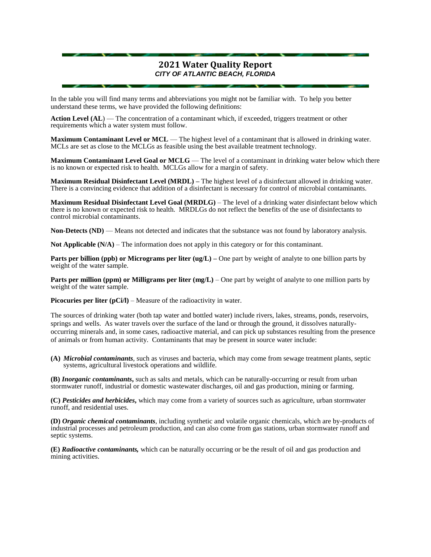#### **2021 Water Quality Report** *CITY OF ATLANTIC BEACH, FLORIDA*

In the table you will find many terms and abbreviations you might not be familiar with. To help you better understand these terms, we have provided the following definitions:

**Action Level (AL**) — The concentration of a contaminant which, if exceeded, triggers treatment or other requirements which a water system must follow.

**Maximum Contaminant Level or MCL** — The highest level of a contaminant that is allowed in drinking water. MCLs are set as close to the MCLGs as feasible using the best available treatment technology.

**Maximum Contaminant Level Goal or MCLG** — The level of a contaminant in drinking water below which there is no known or expected risk to health. MCLGs allow for a margin of safety.

**Maximum Residual Disinfectant Level (MRDL) –** The highest level of a disinfectant allowed in drinking water. There is a convincing evidence that addition of a disinfectant is necessary for control of microbial contaminants.

**Maximum Residual Disinfectant Level Goal (MRDLG)** – The level of a drinking water disinfectant below which there is no known or expected risk to health. MRDLGs do not reflect the benefits of the use of disinfectants to control microbial contaminants.

**Non-Detects (ND)** — Means not detected and indicates that the substance was not found by laboratory analysis.

**Not Applicable (N/A)** – The information does not apply in this category or for this contaminant.

**Parts per billion (ppb) or Micrograms per liter (ug/L)** – One part by weight of analyte to one billion parts by weight of the water sample.

**Parts per million (ppm) or Milligrams per liter (mg/L)** – One part by weight of analyte to one million parts by weight of the water sample.

**Picocuries per liter (pCi/l)** – Measure of the radioactivity in water.

The sources of drinking water (both tap water and bottled water) include rivers, lakes, streams, ponds, reservoirs, springs and wells. As water travels over the surface of the land or through the ground, it dissolves naturallyoccurring minerals and, in some cases, radioactive material, and can pick up substances resulting from the presence of animals or from human activity. Contaminants that may be present in source water include:

**(A)** *Microbial contaminants*, such as viruses and bacteria, which may come from sewage treatment plants, septic systems, agricultural livestock operations and wildlife.

**(B)** *Inorganic contaminants***,** such as salts and metals, which can be naturally-occurring or result from urban stormwater runoff, industrial or domestic wastewater discharges, oil and gas production, mining or farming.

**(C)** *Pesticides and herbicides***,** which may come from a variety of sources such as agriculture, urban stormwater runoff, and residential uses.

**(D)** *Organic chemical contaminants*, including synthetic and volatile organic chemicals, which are by-products of industrial processes and petroleum production, and can also come from gas stations, urban stormwater runoff and septic systems.

**(E)** *Radioactive contaminants,* which can be naturally occurring or be the result of oil and gas production and mining activities.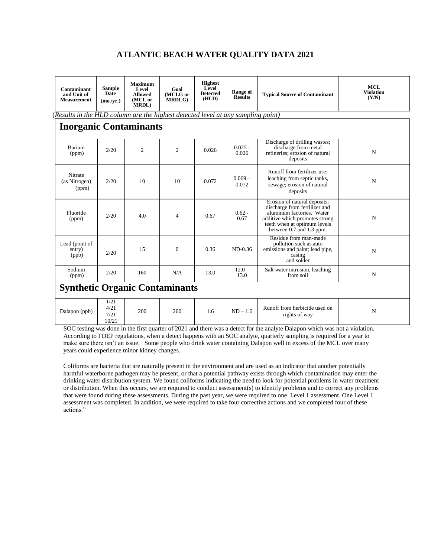#### **ATLANTIC BEACH WATER QUALITY DATA 2021**

| Contaminant<br>and Unit of<br><b>Measurement</b>                                               | <b>Sample</b><br>Date<br>$(mo/\nv{rr})$ | <b>Maximum</b><br>Level<br><b>Allowed</b><br>(MCL or<br><b>MRDL</b> ) | Goal<br>(MCLG or<br><b>MRDLG</b> ) | <b>Highest</b><br>Level<br><b>Detected</b><br>(HLD) | Range of<br><b>Results</b> | <b>Typical Source of Contaminant</b>                                                                                                                                                     | <b>MCL</b><br><b>Violation</b><br>(Y/N) |  |  |  |
|------------------------------------------------------------------------------------------------|-----------------------------------------|-----------------------------------------------------------------------|------------------------------------|-----------------------------------------------------|----------------------------|------------------------------------------------------------------------------------------------------------------------------------------------------------------------------------------|-----------------------------------------|--|--|--|
| ( $\overline{Results}$ in the HLD column are the highest detected level at any sampling point) |                                         |                                                                       |                                    |                                                     |                            |                                                                                                                                                                                          |                                         |  |  |  |
| <b>Inorganic Contaminants</b>                                                                  |                                         |                                                                       |                                    |                                                     |                            |                                                                                                                                                                                          |                                         |  |  |  |
| Barium<br>(ppm)                                                                                | 2/20                                    | 2                                                                     | $\mathfrak{2}$                     | 0.026                                               | $0.025 -$<br>0.026         | Discharge of drilling wastes;<br>discharge from metal<br>refineries: erosion of natural<br>deposits                                                                                      | $\mathbf N$                             |  |  |  |
| Nitrate<br>(as Nitrogen)<br>(ppm)                                                              | 2/20                                    | 10                                                                    | 10                                 | 0.072                                               | $0.069 -$<br>0.072         | Runoff from fertilizer use:<br>leaching from septic tanks,<br>sewage; erosion of natural<br>deposits                                                                                     | $\mathbf N$                             |  |  |  |
| Fluoride<br>(ppm)                                                                              | 2/20                                    | 4.0                                                                   | 4                                  | 0.67                                                | $0.62 -$<br>0.67           | Erosion of natural deposits;<br>discharge from fertilizer and<br>aluminum factories. Water<br>additive which promotes strong<br>teeth when at optimum levels<br>between 0.7 and 1.3 ppm. | $\mathbf N$                             |  |  |  |
| Lead (point of<br>entry)<br>(ppb)                                                              | 2/20                                    | 15                                                                    | $\Omega$                           | 0.36                                                | $ND-0.36$                  | Residue from man-made<br>pollution such as auto<br>emissions and paint; lead pipe,<br>casing<br>and solder                                                                               | $\mathbf N$                             |  |  |  |
| Sodium<br>(ppm)                                                                                | 2/20                                    | 160                                                                   | N/A                                | 13.0                                                | $12.0 -$<br>13.0           | Salt water intrusion, leaching<br>from soil                                                                                                                                              | ${\bf N}$                               |  |  |  |
| <b>Synthetic Organic Contaminants</b>                                                          |                                         |                                                                       |                                    |                                                     |                            |                                                                                                                                                                                          |                                         |  |  |  |
| Dalapon (ppb)                                                                                  | 1/21<br>4/21<br>7/21<br>10/21           | 200                                                                   | 200                                | 1.6                                                 | $ND - 1.6$                 | Runoff from herbicide used on<br>rights of way                                                                                                                                           | ${\bf N}$                               |  |  |  |

SOC testing was done in the first quarter of 2021 and there was a detect for the analyte Dalapon which was not a violation. According to FDEP regulations, when a detect happens with an SOC analyte, quarterly sampling is required for a year to make sure there isn't an issue. Some people who drink water containing Dalapon well in excess of the MCL over many years could experience minor kidney changes.

Coliforms are bacteria that are naturally present in the environment and are used as an indicator that another potentially harmful waterborne pathogen may be present, or that a potential pathway exists through which contamination may enter the drinking water distribution system. We found coliforms indicating the need to look for potential problems in water treatment or distribution. When this occurs, we are required to conduct assessment(s) to identify problems and to correct any problems that were found during these assessments. During the past year, we were required to one Level 1 assessment. One Level 1 assessment was completed. In addition, we were required to take four corrective actions and we completed four of these actions."